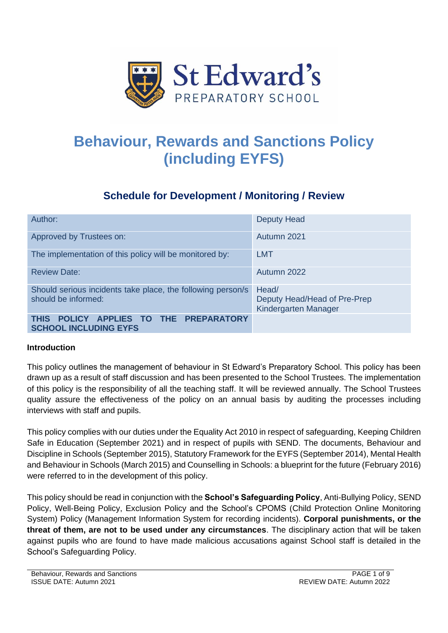

# **Behaviour, Rewards and Sanctions Policy (including EYFS)**

# **Schedule for Development / Monitoring / Review**

| Author:                                                                            | <b>Deputy Head</b>                                            |  |
|------------------------------------------------------------------------------------|---------------------------------------------------------------|--|
| Approved by Trustees on:                                                           | Autumn 2021                                                   |  |
| The implementation of this policy will be monitored by:                            | <b>LMT</b>                                                    |  |
| <b>Review Date:</b>                                                                | Autumn 2022                                                   |  |
| Should serious incidents take place, the following person/s<br>should be informed: | Head/<br>Deputy Head/Head of Pre-Prep<br>Kindergarten Manager |  |
| POLICY APPLIES TO THE PREPARATORY<br><b>THIS</b><br><b>SCHOOL INCLUDING EYFS</b>   |                                                               |  |

# **Introduction**

This policy outlines the management of behaviour in St Edward's Preparatory School. This policy has been drawn up as a result of staff discussion and has been presented to the School Trustees. The implementation of this policy is the responsibility of all the teaching staff. It will be reviewed annually. The School Trustees quality assure the effectiveness of the policy on an annual basis by auditing the processes including interviews with staff and pupils.

This policy complies with our duties under the Equality Act 2010 in respect of safeguarding, Keeping Children Safe in Education (September 2021) and in respect of pupils with SEND. The documents, Behaviour and Discipline in Schools (September 2015), Statutory Framework for the EYFS (September 2014), Mental Health and Behaviour in Schools (March 2015) and Counselling in Schools: a blueprint for the future (February 2016) were referred to in the development of this policy.

This policy should be read in conjunction with the **School's Safeguarding Policy**, Anti-Bullying Policy, SEND Policy, Well-Being Policy, Exclusion Policy and the School's CPOMS (Child Protection Online Monitoring System) Policy (Management Information System for recording incidents). **Corporal punishments, or the threat of them, are not to be used under any circumstances**. The disciplinary action that will be taken against pupils who are found to have made malicious accusations against School staff is detailed in the School's Safeguarding Policy.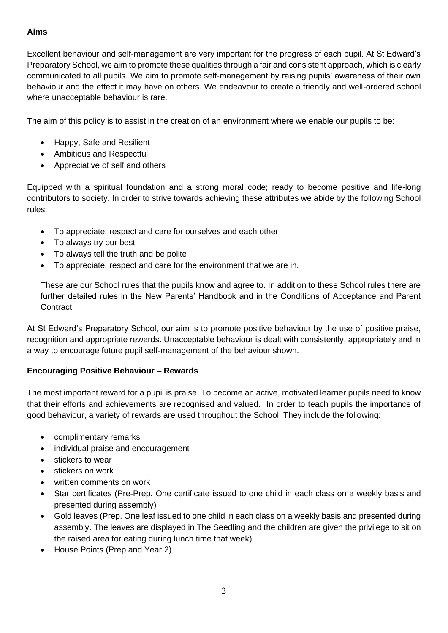# **Aims**

Excellent behaviour and self-management are very important for the progress of each pupil. At St Edward's Preparatory School, we aim to promote these qualities through a fair and consistent approach, which is clearly communicated to all pupils. We aim to promote self-management by raising pupils' awareness of their own behaviour and the effect it may have on others. We endeavour to create a friendly and well-ordered school where unacceptable behaviour is rare.

The aim of this policy is to assist in the creation of an environment where we enable our pupils to be:

- Happy, Safe and Resilient
- Ambitious and Respectful
- Appreciative of self and others

Equipped with a spiritual foundation and a strong moral code; ready to become positive and life-long contributors to society. In order to strive towards achieving these attributes we abide by the following School rules:

- To appreciate, respect and care for ourselves and each other
- To always try our best
- To always tell the truth and be polite
- To appreciate, respect and care for the environment that we are in.

These are our School rules that the pupils know and agree to. In addition to these School rules there are further detailed rules in the New Parents' Handbook and in the Conditions of Acceptance and Parent Contract.

At St Edward's Preparatory School, our aim is to promote positive behaviour by the use of positive praise, recognition and appropriate rewards. Unacceptable behaviour is dealt with consistently, appropriately and in a way to encourage future pupil self-management of the behaviour shown.

# **Encouraging Positive Behaviour – Rewards**

The most important reward for a pupil is praise. To become an active, motivated learner pupils need to know that their efforts and achievements are recognised and valued. In order to teach pupils the importance of good behaviour, a variety of rewards are used throughout the School. They include the following:

- complimentary remarks
- individual praise and encouragement
- stickers to wear
- stickers on work
- written comments on work
- Star certificates (Pre-Prep. One certificate issued to one child in each class on a weekly basis and presented during assembly)
- Gold leaves (Prep. One leaf issued to one child in each class on a weekly basis and presented during assembly. The leaves are displayed in The Seedling and the children are given the privilege to sit on the raised area for eating during lunch time that week)
- House Points (Prep and Year 2)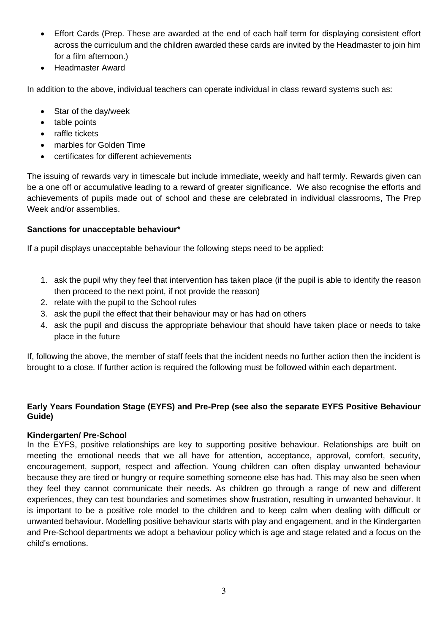- Effort Cards (Prep. These are awarded at the end of each half term for displaying consistent effort across the curriculum and the children awarded these cards are invited by the Headmaster to join him for a film afternoon.)
- Headmaster Award

In addition to the above, individual teachers can operate individual in class reward systems such as:

- Star of the day/week
- table points
- raffle tickets
- marbles for Golden Time
- certificates for different achievements

The issuing of rewards vary in timescale but include immediate, weekly and half termly. Rewards given can be a one off or accumulative leading to a reward of greater significance. We also recognise the efforts and achievements of pupils made out of school and these are celebrated in individual classrooms, The Prep Week and/or assemblies.

#### **Sanctions for unacceptable behaviour\***

If a pupil displays unacceptable behaviour the following steps need to be applied:

- 1. ask the pupil why they feel that intervention has taken place (if the pupil is able to identify the reason then proceed to the next point, if not provide the reason)
- 2. relate with the pupil to the School rules
- 3. ask the pupil the effect that their behaviour may or has had on others
- 4. ask the pupil and discuss the appropriate behaviour that should have taken place or needs to take place in the future

If, following the above, the member of staff feels that the incident needs no further action then the incident is brought to a close. If further action is required the following must be followed within each department.

#### **Early Years Foundation Stage (EYFS) and Pre-Prep (see also the separate EYFS Positive Behaviour Guide)**

#### **Kindergarten/ Pre-School**

In the EYFS, positive relationships are key to supporting positive behaviour. Relationships are built on meeting the emotional needs that we all have for attention, acceptance, approval, comfort, security, encouragement, support, respect and affection. Young children can often display unwanted behaviour because they are tired or hungry or require something someone else has had. This may also be seen when they feel they cannot communicate their needs. As children go through a range of new and different experiences, they can test boundaries and sometimes show frustration, resulting in unwanted behaviour. It is important to be a positive role model to the children and to keep calm when dealing with difficult or unwanted behaviour. Modelling positive behaviour starts with play and engagement, and in the Kindergarten and Pre-School departments we adopt a behaviour policy which is age and stage related and a focus on the child's emotions.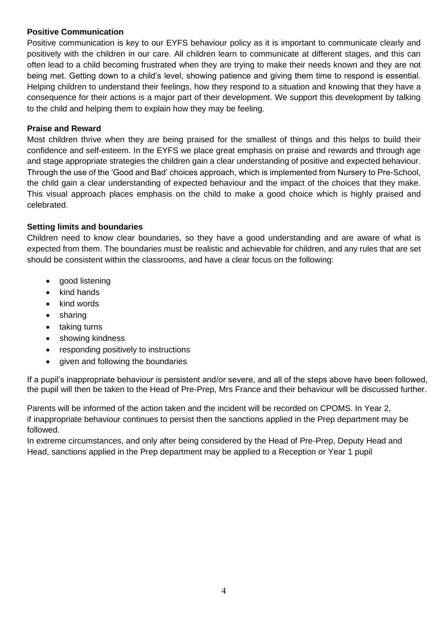#### **Positive Communication**

Positive communication is key to our EYFS behaviour policy as it is important to communicate clearly and positively with the children in our care. All children learn to communicate at different stages, and this can often lead to a child becoming frustrated when they are trying to make their needs known and they are not being met. Getting down to a child's level, showing patience and giving them time to respond is essential. Helping children to understand their feelings, how they respond to a situation and knowing that they have a consequence for their actions is a major part of their development. We support this development by talking to the child and helping them to explain how they may be feeling.

#### **Praise and Reward**

Most children thrive when they are being praised for the smallest of things and this helps to build their confidence and self-esteem. In the EYFS we place great emphasis on praise and rewards and through age and stage appropriate strategies the children gain a clear understanding of positive and expected behaviour. Through the use of the 'Good and Bad' choices approach, which is implemented from Nursery to Pre-School, the child gain a clear understanding of expected behaviour and the impact of the choices that they make. This visual approach places emphasis on the child to make a good choice which is highly praised and celebrated.

# **Setting limits and boundaries**

Children need to know clear boundaries, so they have a good understanding and are aware of what is expected from them. The boundaries must be realistic and achievable for children, and any rules that are set should be consistent within the classrooms, and have a clear focus on the following:

- good listening
- kind hands
- kind words
- sharing
- taking turns
- showing kindness
- responding positively to instructions
- given and following the boundaries

If a pupil's inappropriate behaviour is persistent and/or severe, and all of the steps above have been followed, the pupil will then be taken to the Head of Pre-Prep, Mrs France and their behaviour will be discussed further.

Parents will be informed of the action taken and the incident will be recorded on CPOMS. In Year 2, if inappropriate behaviour continues to persist then the sanctions applied in the Prep department may be followed.

In extreme circumstances, and only after being considered by the Head of Pre-Prep, Deputy Head and Head, sanctions applied in the Prep department may be applied to a Reception or Year 1 pupil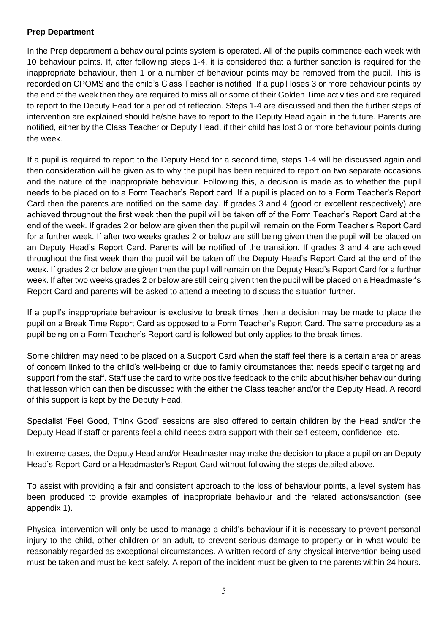#### **Prep Department**

In the Prep department a behavioural points system is operated. All of the pupils commence each week with 10 behaviour points. If, after following steps 1-4, it is considered that a further sanction is required for the inappropriate behaviour, then 1 or a number of behaviour points may be removed from the pupil. This is recorded on CPOMS and the child's Class Teacher is notified. If a pupil loses 3 or more behaviour points by the end of the week then they are required to miss all or some of their Golden Time activities and are required to report to the Deputy Head for a period of reflection. Steps 1-4 are discussed and then the further steps of intervention are explained should he/she have to report to the Deputy Head again in the future. Parents are notified, either by the Class Teacher or Deputy Head, if their child has lost 3 or more behaviour points during the week.

If a pupil is required to report to the Deputy Head for a second time, steps 1-4 will be discussed again and then consideration will be given as to why the pupil has been required to report on two separate occasions and the nature of the inappropriate behaviour. Following this, a decision is made as to whether the pupil needs to be placed on to a Form Teacher's Report card. If a pupil is placed on to a Form Teacher's Report Card then the parents are notified on the same day. If grades 3 and 4 (good or excellent respectively) are achieved throughout the first week then the pupil will be taken off of the Form Teacher's Report Card at the end of the week. If grades 2 or below are given then the pupil will remain on the Form Teacher's Report Card for a further week. If after two weeks grades 2 or below are still being given then the pupil will be placed on an Deputy Head's Report Card. Parents will be notified of the transition. If grades 3 and 4 are achieved throughout the first week then the pupil will be taken off the Deputy Head's Report Card at the end of the week. If grades 2 or below are given then the pupil will remain on the Deputy Head's Report Card for a further week. If after two weeks grades 2 or below are still being given then the pupil will be placed on a Headmaster's Report Card and parents will be asked to attend a meeting to discuss the situation further.

If a pupil's inappropriate behaviour is exclusive to break times then a decision may be made to place the pupil on a Break Time Report Card as opposed to a Form Teacher's Report Card. The same procedure as a pupil being on a Form Teacher's Report card is followed but only applies to the break times.

Some children may need to be placed on a Support Card when the staff feel there is a certain area or areas of concern linked to the child's well-being or due to family circumstances that needs specific targeting and support from the staff. Staff use the card to write positive feedback to the child about his/her behaviour during that lesson which can then be discussed with the either the Class teacher and/or the Deputy Head. A record of this support is kept by the Deputy Head.

Specialist 'Feel Good, Think Good' sessions are also offered to certain children by the Head and/or the Deputy Head if staff or parents feel a child needs extra support with their self-esteem, confidence, etc.

In extreme cases, the Deputy Head and/or Headmaster may make the decision to place a pupil on an Deputy Head's Report Card or a Headmaster's Report Card without following the steps detailed above.

To assist with providing a fair and consistent approach to the loss of behaviour points, a level system has been produced to provide examples of inappropriate behaviour and the related actions/sanction (see appendix 1).

Physical intervention will only be used to manage a child's behaviour if it is necessary to prevent personal injury to the child, other children or an adult, to prevent serious damage to property or in what would be reasonably regarded as exceptional circumstances. A written record of any physical intervention being used must be taken and must be kept safely. A report of the incident must be given to the parents within 24 hours.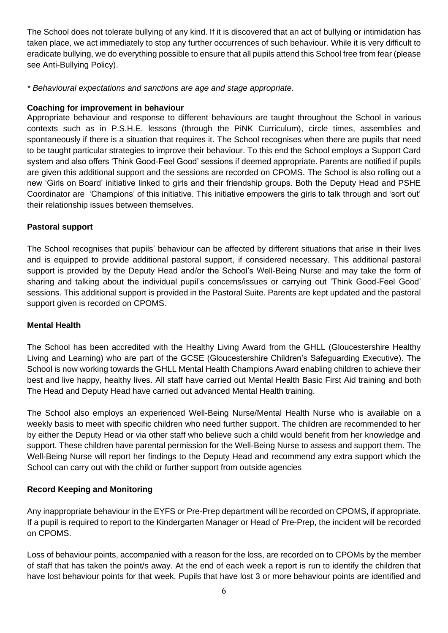The School does not tolerate bullying of any kind. If it is discovered that an act of bullying or intimidation has taken place, we act immediately to stop any further occurrences of such behaviour. While it is very difficult to eradicate bullying, we do everything possible to ensure that all pupils attend this School free from fear (please see Anti-Bullying Policy).

*\* Behavioural expectations and sanctions are age and stage appropriate.*

# **Coaching for improvement in behaviour**

Appropriate behaviour and response to different behaviours are taught throughout the School in various contexts such as in P.S.H.E. lessons (through the PiNK Curriculum), circle times, assemblies and spontaneously if there is a situation that requires it. The School recognises when there are pupils that need to be taught particular strategies to improve their behaviour. To this end the School employs a Support Card system and also offers 'Think Good-Feel Good' sessions if deemed appropriate. Parents are notified if pupils are given this additional support and the sessions are recorded on CPOMS. The School is also rolling out a new 'Girls on Board' initiative linked to girls and their friendship groups. Both the Deputy Head and PSHE Coordinator are 'Champions' of this initiative. This initiative empowers the girls to talk through and 'sort out' their relationship issues between themselves.

# **Pastoral support**

The School recognises that pupils' behaviour can be affected by different situations that arise in their lives and is equipped to provide additional pastoral support, if considered necessary. This additional pastoral support is provided by the Deputy Head and/or the School's Well-Being Nurse and may take the form of sharing and talking about the individual pupil's concerns/issues or carrying out 'Think Good-Feel Good' sessions. This additional support is provided in the Pastoral Suite. Parents are kept updated and the pastoral support given is recorded on CPOMS.

#### **Mental Health**

The School has been accredited with the Healthy Living Award from the GHLL (Gloucestershire Healthy Living and Learning) who are part of the GCSE (Gloucestershire Children's Safeguarding Executive). The School is now working towards the GHLL Mental Health Champions Award enabling children to achieve their best and live happy, healthy lives. All staff have carried out Mental Health Basic First Aid training and both The Head and Deputy Head have carried out advanced Mental Health training.

The School also employs an experienced Well-Being Nurse/Mental Health Nurse who is available on a weekly basis to meet with specific children who need further support. The children are recommended to her by either the Deputy Head or via other staff who believe such a child would benefit from her knowledge and support. These children have parental permission for the Well-Being Nurse to assess and support them. The Well-Being Nurse will report her findings to the Deputy Head and recommend any extra support which the School can carry out with the child or further support from outside agencies

# **Record Keeping and Monitoring**

Any inappropriate behaviour in the EYFS or Pre-Prep department will be recorded on CPOMS, if appropriate. If a pupil is required to report to the Kindergarten Manager or Head of Pre-Prep, the incident will be recorded on CPOMS.

Loss of behaviour points, accompanied with a reason for the loss, are recorded on to CPOMs by the member of staff that has taken the point/s away. At the end of each week a report is run to identify the children that have lost behaviour points for that week. Pupils that have lost 3 or more behaviour points are identified and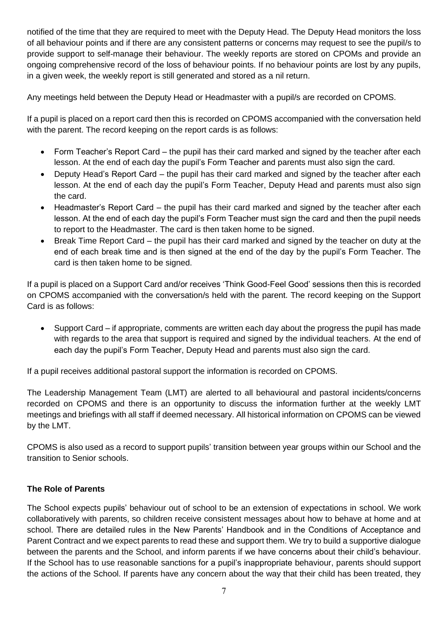notified of the time that they are required to meet with the Deputy Head. The Deputy Head monitors the loss of all behaviour points and if there are any consistent patterns or concerns may request to see the pupil/s to provide support to self-manage their behaviour. The weekly reports are stored on CPOMs and provide an ongoing comprehensive record of the loss of behaviour points. If no behaviour points are lost by any pupils, in a given week, the weekly report is still generated and stored as a nil return.

Any meetings held between the Deputy Head or Headmaster with a pupil/s are recorded on CPOMS.

If a pupil is placed on a report card then this is recorded on CPOMS accompanied with the conversation held with the parent. The record keeping on the report cards is as follows:

- Form Teacher's Report Card the pupil has their card marked and signed by the teacher after each lesson. At the end of each day the pupil's Form Teacher and parents must also sign the card.
- Deputy Head's Report Card the pupil has their card marked and signed by the teacher after each lesson. At the end of each day the pupil's Form Teacher, Deputy Head and parents must also sign the card.
- Headmaster's Report Card the pupil has their card marked and signed by the teacher after each lesson. At the end of each day the pupil's Form Teacher must sign the card and then the pupil needs to report to the Headmaster. The card is then taken home to be signed.
- Break Time Report Card the pupil has their card marked and signed by the teacher on duty at the end of each break time and is then signed at the end of the day by the pupil's Form Teacher. The card is then taken home to be signed.

If a pupil is placed on a Support Card and/or receives 'Think Good-Feel Good' sessions then this is recorded on CPOMS accompanied with the conversation/s held with the parent. The record keeping on the Support Card is as follows:

• Support Card – if appropriate, comments are written each day about the progress the pupil has made with regards to the area that support is required and signed by the individual teachers. At the end of each day the pupil's Form Teacher, Deputy Head and parents must also sign the card.

If a pupil receives additional pastoral support the information is recorded on CPOMS.

The Leadership Management Team (LMT) are alerted to all behavioural and pastoral incidents/concerns recorded on CPOMS and there is an opportunity to discuss the information further at the weekly LMT meetings and briefings with all staff if deemed necessary. All historical information on CPOMS can be viewed by the LMT.

CPOMS is also used as a record to support pupils' transition between year groups within our School and the transition to Senior schools.

# **The Role of Parents**

The School expects pupils' behaviour out of school to be an extension of expectations in school. We work collaboratively with parents, so children receive consistent messages about how to behave at home and at school. There are detailed rules in the New Parents' Handbook and in the Conditions of Acceptance and Parent Contract and we expect parents to read these and support them. We try to build a supportive dialogue between the parents and the School, and inform parents if we have concerns about their child's behaviour. If the School has to use reasonable sanctions for a pupil's inappropriate behaviour, parents should support the actions of the School. If parents have any concern about the way that their child has been treated, they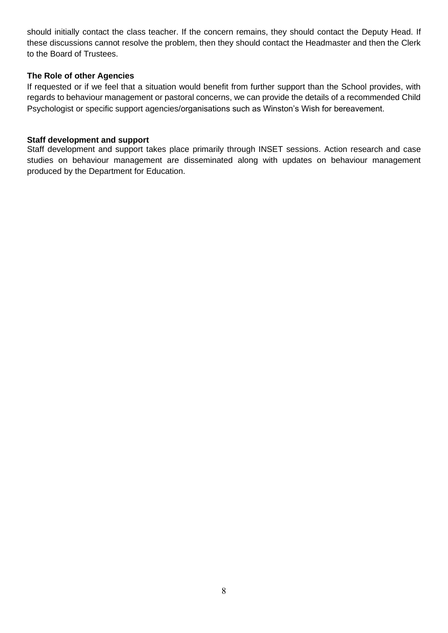should initially contact the class teacher. If the concern remains, they should contact the Deputy Head. If these discussions cannot resolve the problem, then they should contact the Headmaster and then the Clerk to the Board of Trustees.

#### **The Role of other Agencies**

If requested or if we feel that a situation would benefit from further support than the School provides, with regards to behaviour management or pastoral concerns, we can provide the details of a recommended Child Psychologist or specific support agencies/organisations such as Winston's Wish for bereavement.

#### **Staff development and support**

Staff development and support takes place primarily through INSET sessions. Action research and case studies on behaviour management are disseminated along with updates on behaviour management produced by the Department for Education.